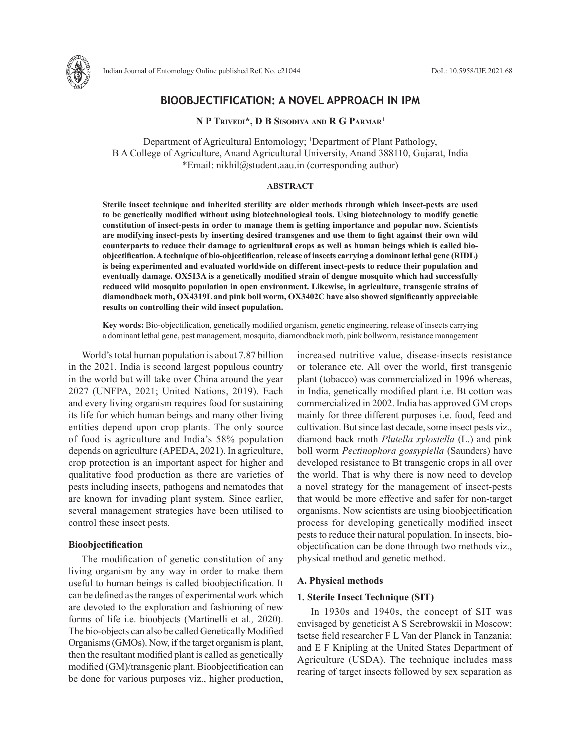

# **BIOOBJECTIFICATION: A NOVEL APPROACH IN IPM**

**N P Trivedi\*, D B Sisodiya and R G Parmar1**

Department of Agricultural Entomology; <sup>1</sup>Department of Plant Pathology, B A College of Agriculture, Anand Agricultural University, Anand 388110, Gujarat, India \*Email: nikhil@student.aau.in (corresponding author)

## **ABSTRACT**

**Sterile insect technique and inherited sterility are older methods through which insect-pests are used to be genetically modified without using biotechnological tools. Using biotechnology to modify genetic constitution of insect-pests in order to manage them is getting importance and popular now. Scientists are modifying insect-pests by inserting desired transgenes and use them to fight against their own wild counterparts to reduce their damage to agricultural crops as well as human beings which is called bioobjectification. A technique of bio-objectification, release of insects carrying a dominant lethal gene (RIDL) is being experimented and evaluated worldwide on different insect-pests to reduce their population and eventually damage. OX513A is a genetically modified strain of dengue mosquito which had successfully reduced wild mosquito population in open environment. Likewise, in agriculture, transgenic strains of diamondback moth, OX4319L and pink boll worm, OX3402C have also showed significantly appreciable results on controlling their wild insect population.**

**Key words:** Bio-objectification, genetically modified organism, genetic engineering, release of insects carrying a dominant lethal gene, pest management, mosquito, diamondback moth, pink bollworm, resistance management

World's total human population is about 7.87 billion in the 2021. India is second largest populous country in the world but will take over China around the year 2027 (UNFPA, 2021; United Nations, 2019). Each and every living organism requires food for sustaining its life for which human beings and many other living entities depend upon crop plants. The only source of food is agriculture and India's 58% population depends on agriculture (APEDA, 2021). In agriculture, crop protection is an important aspect for higher and qualitative food production as there are varieties of pests including insects, pathogens and nematodes that are known for invading plant system. Since earlier, several management strategies have been utilised to control these insect pests.

### **Bioobjectification**

The modification of genetic constitution of any living organism by any way in order to make them useful to human beings is called bioobjectification. It can be defined as the ranges of experimental work which are devoted to the exploration and fashioning of new forms of life i.e. bioobjects (Martinelli et al*.,* 2020). The bio-objects can also be called Genetically Modified Organisms (GMOs). Now, if the target organism is plant, then the resultant modified plant is called as genetically modified (GM)/transgenic plant. Bioobjectification can be done for various purposes viz., higher production,

increased nutritive value, disease-insects resistance or tolerance etc*.* All over the world, first transgenic plant (tobacco) was commercialized in 1996 whereas, in India, genetically modified plant i.e. Bt cotton was commercialized in 2002. India has approved GM crops mainly for three different purposes i.e. food, feed and cultivation. But since last decade, some insect pests viz., diamond back moth *Plutella xylostella* (L.) and pink boll worm *Pectinophora gossypiella* (Saunders) have developed resistance to Bt transgenic crops in all over the world. That is why there is now need to develop a novel strategy for the management of insect-pests that would be more effective and safer for non-target organisms. Now scientists are using bioobjectification process for developing genetically modified insect pests to reduce their natural population. In insects, bioobjectification can be done through two methods viz., physical method and genetic method.

### **A. Physical methods**

## **1. Sterile Insect Technique (SIT)**

In 1930s and 1940s, the concept of SIT was envisaged by geneticist A S Serebrowskii in Moscow; tsetse field researcher F L Van der Planck in Tanzania; and E F Knipling at the United States Department of Agriculture (USDA). The technique includes mass rearing of target insects followed by sex separation as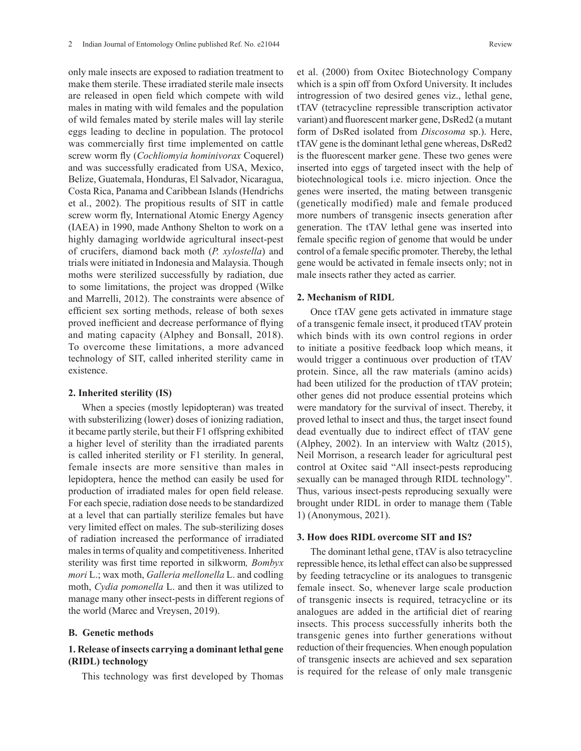only male insects are exposed to radiation treatment to make them sterile. These irradiated sterile male insects are released in open field which compete with wild males in mating with wild females and the population of wild females mated by sterile males will lay sterile eggs leading to decline in population. The protocol was commercially first time implemented on cattle screw worm fly (*Cochliomyia hominivorax* Coquerel) and was successfully eradicated from USA, Mexico, Belize, Guatemala, Honduras, El Salvador, Nicaragua, Costa Rica, Panama and Caribbean Islands (Hendrichs et al., 2002). The propitious results of SIT in cattle screw worm fly, International Atomic Energy Agency (IAEA) in 1990, made Anthony Shelton to work on a highly damaging worldwide agricultural insect-pest of crucifers, diamond back moth (*P. xylostella*) and trials were initiated in Indonesia and Malaysia. Though moths were sterilized successfully by radiation, due to some limitations, the project was dropped (Wilke and Marrelli, 2012). The constraints were absence of efficient sex sorting methods, release of both sexes proved inefficient and decrease performance of flying and mating capacity (Alphey and Bonsall, 2018). To overcome these limitations, a more advanced technology of SIT, called inherited sterility came in existence.

### **2. Inherited sterility (IS)**

When a species (mostly lepidopteran) was treated with substerilizing (lower) doses of ionizing radiation, it became partly sterile, but their F1 offspring exhibited a higher level of sterility than the irradiated parents is called inherited sterility or F1 sterility. In general, female insects are more sensitive than males in lepidoptera, hence the method can easily be used for production of irradiated males for open field release. For each specie, radiation dose needs to be standardized at a level that can partially sterilize females but have very limited effect on males. The sub-sterilizing doses of radiation increased the performance of irradiated males in terms of quality and competitiveness. Inherited sterility was first time reported in silkworm*, Bombyx mori* L.; wax moth, *Galleria mellonella* L. and codling moth, *Cydia pomonella* L. and then it was utilized to manage many other insect-pests in different regions of the world (Marec and Vreysen, 2019).

## **B. Genetic methods**

## **1. Release of insects carrying a dominant lethal gene (RIDL) technology**

This technology was first developed by Thomas

et al. (2000) from Oxitec Biotechnology Company which is a spin off from Oxford University. It includes introgression of two desired genes viz., lethal gene, tTAV (tetracycline repressible transcription activator variant) and fluorescent marker gene, DsRed2 (a mutant form of DsRed isolated from *Discosoma* sp.). Here, tTAV gene is the dominant lethal gene whereas, DsRed2 is the fluorescent marker gene. These two genes were inserted into eggs of targeted insect with the help of biotechnological tools i.e. micro injection. Once the genes were inserted, the mating between transgenic (genetically modified) male and female produced more numbers of transgenic insects generation after generation. The tTAV lethal gene was inserted into female specific region of genome that would be under control of a female specific promoter. Thereby, the lethal gene would be activated in female insects only; not in male insects rather they acted as carrier.

## **2. Mechanism of RIDL**

Once tTAV gene gets activated in immature stage of a transgenic female insect, it produced tTAV protein which binds with its own control regions in order to initiate a positive feedback loop which means, it would trigger a continuous over production of tTAV protein. Since, all the raw materials (amino acids) had been utilized for the production of tTAV protein; other genes did not produce essential proteins which were mandatory for the survival of insect. Thereby, it proved lethal to insect and thus, the target insect found dead eventually due to indirect effect of tTAV gene (Alphey, 2002). In an interview with Waltz (2015), Neil Morrison, a research leader for agricultural pest control at Oxitec said "All insect-pests reproducing sexually can be managed through RIDL technology". Thus, various insect-pests reproducing sexually were brought under RIDL in order to manage them (Table 1) (Anonymous, 2021).

## **3. How does RIDL overcome SIT and IS?**

The dominant lethal gene, tTAV is also tetracycline repressible hence, its lethal effect can also be suppressed by feeding tetracycline or its analogues to transgenic female insect. So, whenever large scale production of transgenic insects is required, tetracycline or its analogues are added in the artificial diet of rearing insects. This process successfully inherits both the transgenic genes into further generations without reduction of their frequencies. When enough population of transgenic insects are achieved and sex separation is required for the release of only male transgenic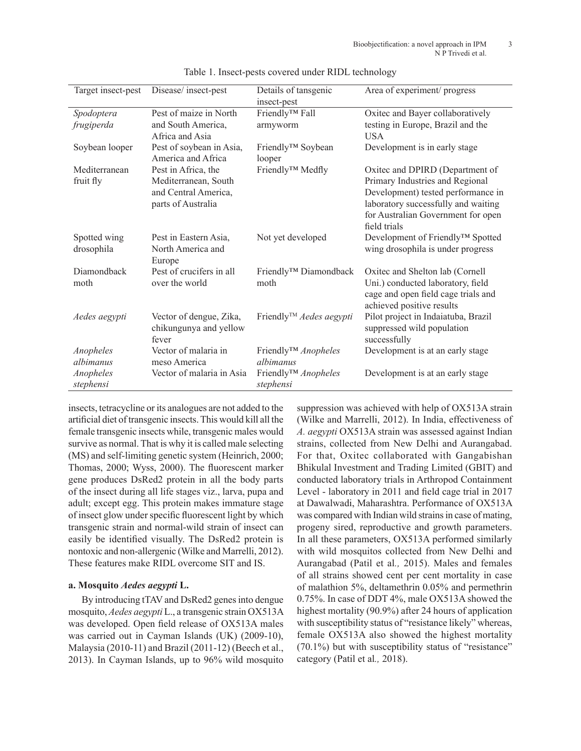| Target insect-pest | Disease/insect-pest                            | Details of tansgenic                    | Area of experiment/ progress        |
|--------------------|------------------------------------------------|-----------------------------------------|-------------------------------------|
|                    |                                                | insect-pest                             |                                     |
| Spodoptera         | Pest of maize in North                         | Friendly™ Fall                          | Oxitec and Bayer collaboratively    |
| frugiperda         | and South America,                             | armyworm                                | testing in Europe, Brazil and the   |
|                    | Africa and Asia                                |                                         | <b>USA</b>                          |
| Soybean looper     | Pest of soybean in Asia,<br>America and Africa | Friendly <sup>™</sup> Soybean<br>looper | Development is in early stage       |
| Mediterranean      | Pest in Africa, the                            | Friendly™ Medfly                        | Oxitec and DPIRD (Department of     |
| fruit fly          | Mediterranean, South                           |                                         | Primary Industries and Regional     |
|                    | and Central America,                           |                                         | Development) tested performance in  |
|                    | parts of Australia                             |                                         | laboratory successfully and waiting |
|                    |                                                |                                         | for Australian Government for open  |
|                    |                                                |                                         | field trials                        |
| Spotted wing       | Pest in Eastern Asia,                          | Not yet developed                       | Development of Friendly™ Spotted    |
| drosophila         | North America and                              |                                         | wing drosophila is under progress   |
|                    | Europe                                         |                                         |                                     |
| <b>Diamondback</b> | Pest of crucifers in all                       | Friendly <sup>™</sup> Diamondback       | Oxitec and Shelton lab (Cornell     |
| moth               | over the world                                 | moth                                    | Uni.) conducted laboratory, field   |
|                    |                                                |                                         | cage and open field cage trials and |
|                    |                                                |                                         | achieved positive results           |
| Aedes aegypti      | Vector of dengue, Zika,                        | Friendly <sup>™</sup> Aedes aegypti     | Pilot project in Indaiatuba, Brazil |
|                    | chikungunya and yellow                         |                                         | suppressed wild population          |
|                    | fever                                          |                                         | successfully                        |
| Anopheles          | Vector of malaria in                           | Friendly™ Anopheles                     | Development is at an early stage    |
| albimanus          | meso America                                   | albimanus                               |                                     |
| Anopheles          | Vector of malaria in Asia                      | Friendly™ Anopheles                     | Development is at an early stage    |
| stephensi          |                                                | stephensi                               |                                     |

Table 1. Insect-pests covered under RIDL technology

insects, tetracycline or its analogues are not added to the artificial diet of transgenic insects. This would kill all the female transgenic insects while, transgenic males would survive as normal. That is why it is called male selecting (MS) and self-limiting genetic system (Heinrich, 2000; Thomas, 2000; Wyss, 2000). The fluorescent marker gene produces DsRed2 protein in all the body parts of the insect during all life stages viz., larva, pupa and adult; except egg. This protein makes immature stage of insect glow under specific fluorescent light by which transgenic strain and normal-wild strain of insect can easily be identified visually. The DsRed2 protein is nontoxic and non-allergenic (Wilke and Marrelli, 2012). These features make RIDL overcome SIT and IS.

## **a. Mosquito** *Aedes aegypti* **L.**

By introducing tTAV and DsRed2 genes into dengue mosquito, *Aedes aegypti* L., a transgenic strain OX513A was developed. Open field release of OX513A males was carried out in Cayman Islands (UK) (2009-10), Malaysia (2010-11) and Brazil (2011-12) (Beech et al., 2013). In Cayman Islands, up to 96% wild mosquito suppression was achieved with help of OX513A strain (Wilke and Marrelli, 2012). In India, effectiveness of *A. aegypti* OX513A strain was assessed against Indian strains, collected from New Delhi and Aurangabad. For that, Oxitec collaborated with Gangabishan Bhikulal Investment and Trading Limited (GBIT) and conducted laboratory trials in Arthropod Containment Level - laboratory in 2011 and field cage trial in 2017 at Dawalwadi, Maharashtra. Performance of OX513A was compared with Indian wild strains in case of mating, progeny sired, reproductive and growth parameters. In all these parameters, OX513A performed similarly with wild mosquitos collected from New Delhi and Aurangabad (Patil et al*.,* 2015). Males and females of all strains showed cent per cent mortality in case of malathion 5%, deltamethrin 0.05% and permethrin 0.75%. In case of DDT 4%, male OX513A showed the highest mortality (90.9%) after 24 hours of application with susceptibility status of "resistance likely" whereas, female OX513A also showed the highest mortality (70.1%) but with susceptibility status of "resistance" category (Patil et al*.,* 2018).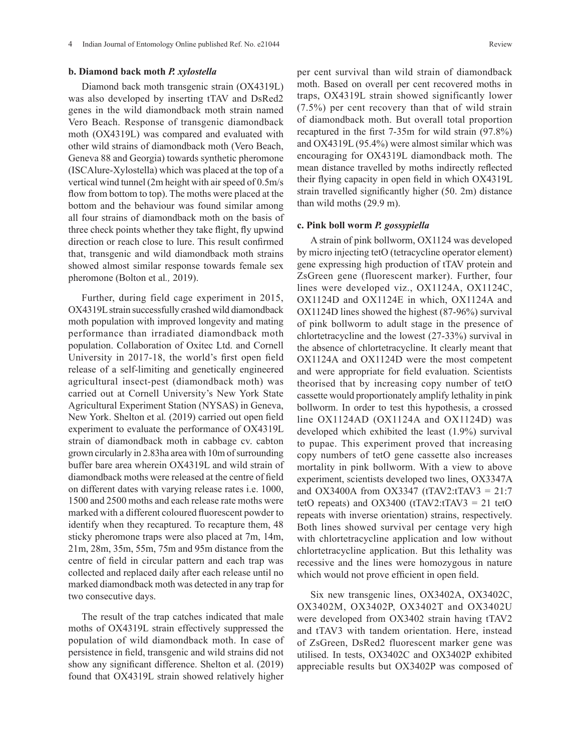## **b. Diamond back moth** *P. xylostella*

Diamond back moth transgenic strain (OX4319L) was also developed by inserting tTAV and DsRed2 genes in the wild diamondback moth strain named Vero Beach. Response of transgenic diamondback moth (OX4319L) was compared and evaluated with other wild strains of diamondback moth (Vero Beach, Geneva 88 and Georgia) towards synthetic pheromone (ISCAlure-Xylostella) which was placed at the top of a vertical wind tunnel (2m height with air speed of 0.5m/s flow from bottom to top). The moths were placed at the bottom and the behaviour was found similar among all four strains of diamondback moth on the basis of three check points whether they take flight, fly upwind direction or reach close to lure. This result confirmed that, transgenic and wild diamondback moth strains showed almost similar response towards female sex pheromone (Bolton et al*.,* 2019).

Further, during field cage experiment in 2015, OX4319L strain successfully crashed wild diamondback moth population with improved longevity and mating performance than irradiated diamondback moth population. Collaboration of Oxitec Ltd. and Cornell University in 2017-18, the world's first open field release of a self-limiting and genetically engineered agricultural insect-pest (diamondback moth) was carried out at Cornell University's New York State Agricultural Experiment Station (NYSAS) in Geneva, New York. Shelton et al*.* (2019) carried out open field experiment to evaluate the performance of OX4319L strain of diamondback moth in cabbage cv. cabton grown circularly in 2.83ha area with 10m of surrounding buffer bare area wherein OX4319L and wild strain of diamondback moths were released at the centre of field on different dates with varying release rates i.e. 1000, 1500 and 2500 moths and each release rate moths were marked with a different coloured fluorescent powder to identify when they recaptured. To recapture them, 48 sticky pheromone traps were also placed at 7m, 14m, 21m, 28m, 35m, 55m, 75m and 95m distance from the centre of field in circular pattern and each trap was collected and replaced daily after each release until no marked diamondback moth was detected in any trap for two consecutive days.

The result of the trap catches indicated that male moths of OX4319L strain effectively suppressed the population of wild diamondback moth. In case of persistence in field, transgenic and wild strains did not show any significant difference. Shelton et al. (2019) found that OX4319L strain showed relatively higher

per cent survival than wild strain of diamondback moth. Based on overall per cent recovered moths in traps, OX4319L strain showed significantly lower (7.5%) per cent recovery than that of wild strain of diamondback moth. But overall total proportion recaptured in the first 7-35m for wild strain (97.8%) and OX4319L (95.4%) were almost similar which was encouraging for OX4319L diamondback moth. The mean distance travelled by moths indirectly reflected their flying capacity in open field in which OX4319L strain travelled significantly higher (50. 2m) distance than wild moths (29.9 m).

## **c. Pink boll worm** *P. gossypiella*

A strain of pink bollworm, OX1124 was developed by micro injecting tetO (tetracycline operator element) gene expressing high production of tTAV protein and ZsGreen gene (fluorescent marker). Further, four lines were developed viz., OX1124A, OX1124C, OX1124D and OX1124E in which, OX1124A and OX1124D lines showed the highest (87-96%) survival of pink bollworm to adult stage in the presence of chlortetracycline and the lowest (27-33%) survival in the absence of chlortetracycline. It clearly meant that OX1124A and OX1124D were the most competent and were appropriate for field evaluation. Scientists theorised that by increasing copy number of tetO cassette would proportionately amplify lethality in pink bollworm. In order to test this hypothesis, a crossed line OX1124AD (OX1124A and OX1124D) was developed which exhibited the least (1.9%) survival to pupae. This experiment proved that increasing copy numbers of tetO gene cassette also increases mortality in pink bollworm. With a view to above experiment, scientists developed two lines, OX3347A and OX3400A from OX3347 (tTAV2:tTAV3 = 21:7 tetO repeats) and  $OX3400$  (tTAV2:tTAV3 = 21 tetO repeats with inverse orientation) strains, respectively. Both lines showed survival per centage very high with chlortetracycline application and low without chlortetracycline application. But this lethality was recessive and the lines were homozygous in nature which would not prove efficient in open field.

Six new transgenic lines, OX3402A, OX3402C, OX3402M, OX3402P, OX3402T and OX3402U were developed from OX3402 strain having tTAV2 and tTAV3 with tandem orientation. Here, instead of ZsGreen, DsRed2 fluorescent marker gene was utilised. In tests, OX3402C and OX3402P exhibited appreciable results but OX3402P was composed of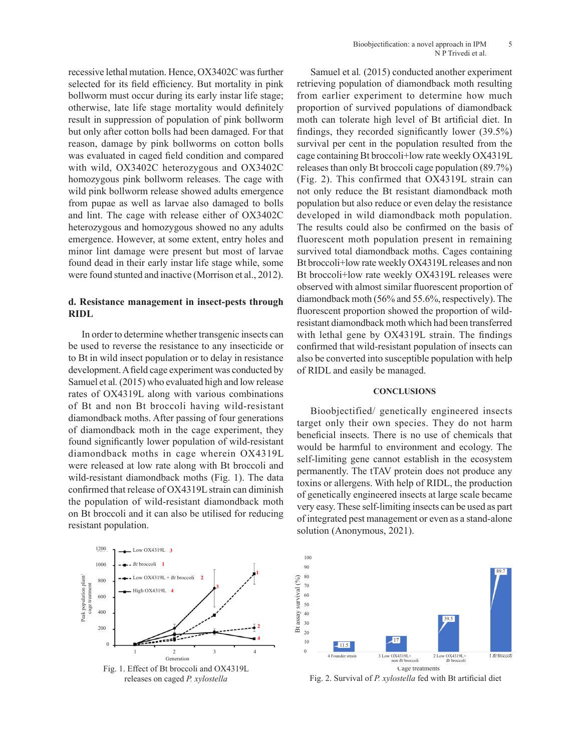recessive lethal mutation. Hence, OX3402C was further selected for its field efficiency. But mortality in pink bollworm must occur during its early instar life stage; otherwise, late life stage mortality would definitely result in suppression of population of pink bollworm but only after cotton bolls had been damaged. For that reason, damage by pink bollworms on cotton bolls was evaluated in caged field condition and compared with wild, OX3402C heterozygous and OX3402C homozygous pink bollworm releases. The cage with wild pink bollworm release showed adults emergence from pupae as well as larvae also damaged to bolls and lint. The cage with release either of OX3402C heterozygous and homozygous showed no any adults emergence. However, at some extent, entry holes and minor lint damage were present but most of larvae found dead in their early instar life stage while, some were found stunted and inactive (Morrison et al., 2012).

## **d. Resistance management in insect-pests through RIDL**

In order to determine whether transgenic insects can be used to reverse the resistance to any insecticide or to Bt in wild insect population or to delay in resistance development. A field cage experiment was conducted by Samuel et al*.* (2015) who evaluated high and low release rates of OX4319L along with various combinations of Bt and non Bt broccoli having wild-resistant diamondback moths. After passing of four generations of diamondback moth in the cage experiment, they found significantly lower population of wild-resistant diamondback moths in cage wherein OX4319L were released at low rate along with Bt broccoli and wild-resistant diamondback moths (Fig. 1). The data confirmed that release of OX4319L strain can diminish the population of wild-resistant diamondback moth on Bt broccoli and it can also be utilised for reducing resistant population.

Samuel et al*.* (2015) conducted another experiment retrieving population of diamondback moth resulting from earlier experiment to determine how much proportion of survived populations of diamondback moth can tolerate high level of Bt artificial diet. In findings, they recorded significantly lower (39.5%) survival per cent in the population resulted from the cage containing Bt broccoli+low rate weekly OX4319L releases than only Bt broccoli cage population (89.7%) (Fig. 2). This confirmed that OX4319L strain can not only reduce the Bt resistant diamondback moth population but also reduce or even delay the resistance developed in wild diamondback moth population. The results could also be confirmed on the basis of fluorescent moth population present in remaining survived total diamondback moths. Cages containing Bt broccoli+low rate weekly OX4319L releases and non Bt broccoli+low rate weekly OX4319L releases were observed with almost similar fluorescent proportion of diamondback moth (56% and 55.6%, respectively). The fluorescent proportion showed the proportion of wildresistant diamondback moth which had been transferred with lethal gene by OX4319L strain. The findings confirmed that wild-resistant population of insects can also be converted into susceptible population with help of RIDL and easily be managed.

## **CONCLUSIONS**

Bioobjectified/ genetically engineered insects target only their own species. They do not harm beneficial insects. There is no use of chemicals that would be harmful to environment and ecology. The self-limiting gene cannot establish in the ecosystem permanently. The tTAV protein does not produce any toxins or allergens. With help of RIDL, the production of genetically engineered insects at large scale became very easy. These self-limiting insects can be used as part of integrated pest management or even as a stand-alone solution (Anonymous, 2021).



releases on caged *P. xylostella* 

caged population of diamond back moth fed with Bt artificial diet



Fig. 2. Survival of P. xylostella fed with Bt artificial diet